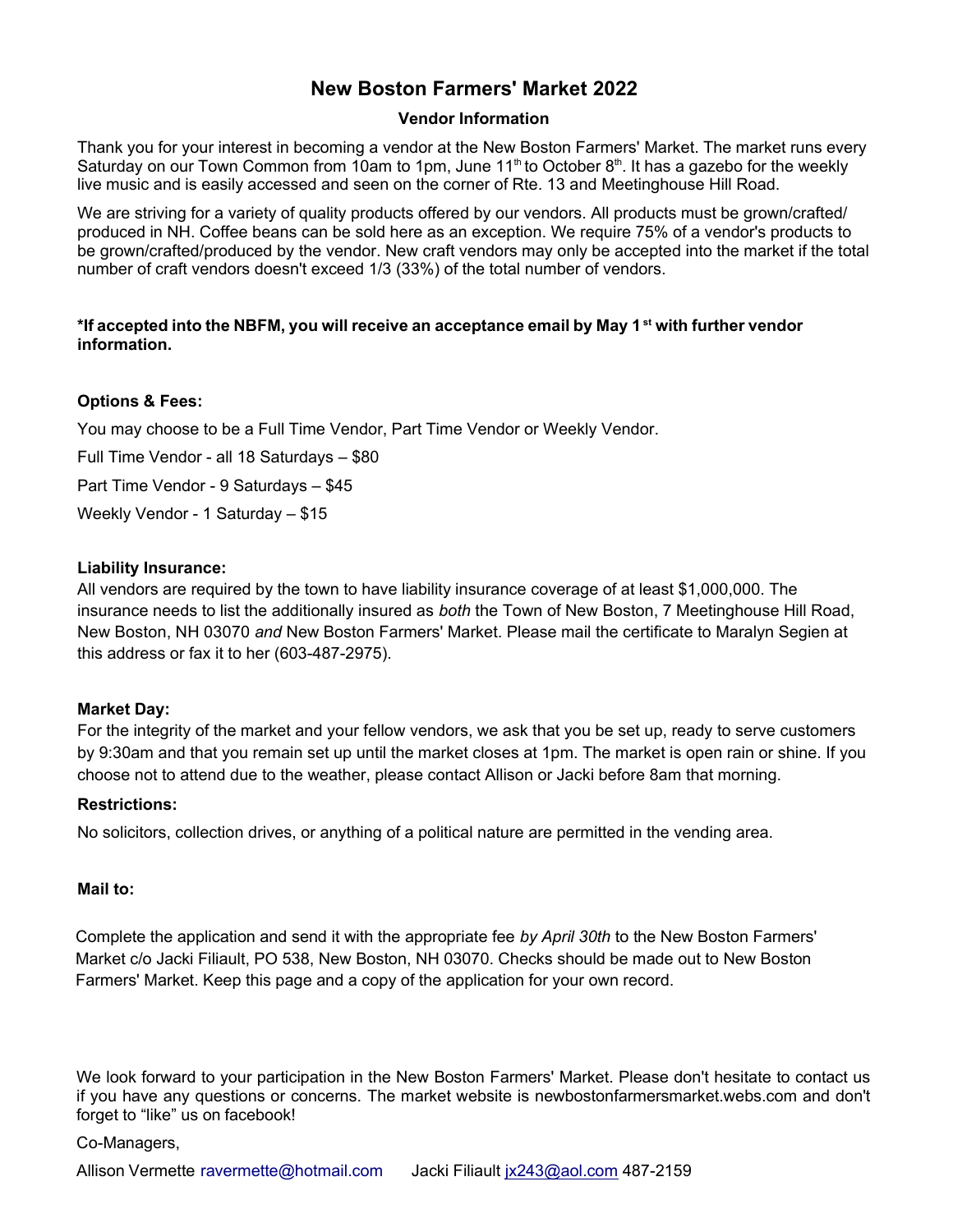# **New Boston Farmers' Market 2022**

## **Vendor Information**

Thank you for your interest in becoming a vendor at the New Boston Farmers' Market. The market runs every Saturday on our Town Common from 10am to 1pm, June 11<sup>th</sup> to October 8<sup>th</sup>. It has a gazebo for the weekly live music and is easily accessed and seen on the corner of Rte. 13 and Meetinghouse Hill Road.

We are striving for a variety of quality products offered by our vendors. All products must be grown/crafted/ produced in NH. Coffee beans can be sold here as an exception. We require 75% of a vendor's products to be grown/crafted/produced by the vendor. New craft vendors may only be accepted into the market if the total number of craft vendors doesn't exceed 1/3 (33%) of the total number of vendors.

## **\*If accepted into the NBFM, you will receive an acceptance email by May 1 st with further vendor information.**

# **Options & Fees:**

You may choose to be a Full Time Vendor, Part Time Vendor or Weekly Vendor.

Full Time Vendor - all 18 Saturdays – \$80

Part Time Vendor - 9 Saturdays – \$45

Weekly Vendor - 1 Saturday – \$15

#### **Liability Insurance:**

All vendors are required by the town to have liability insurance coverage of at least \$1,000,000. The insurance needs to list the additionally insured as *both* the Town of New Boston, 7 Meetinghouse Hill Road, New Boston, NH 03070 *and* New Boston Farmers' Market. Please mail the certificate to Maralyn Segien at this address or fax it to her (603-487-2975).

# **Market Day:**

For the integrity of the market and your fellow vendors, we ask that you be set up, ready to serve customers by 9:30am and that you remain set up until the market closes at 1pm. The market is open rain or shine. If you choose not to attend due to the weather, please contact Allison or Jacki before 8am that morning.

#### **Restrictions:**

No solicitors, collection drives, or anything of a political nature are permitted in the vending area.

#### **Mail to:**

Complete the application and send it with the appropriate fee *by April 30th* to the New Boston Farmers' Market c/o Jacki Filiault, PO 538, New Boston, NH 03070. Checks should be made out to New Boston Farmers' Market. Keep this page and a copy of the application for your own record.

We look forward to your participation in the New Boston Farmers' Market. Please don't hesitate to contact us if you have any questions or concerns. The market website is newbostonfarmersmarket.webs.com and don't forget to "like" us on facebook!

#### Co-Managers,